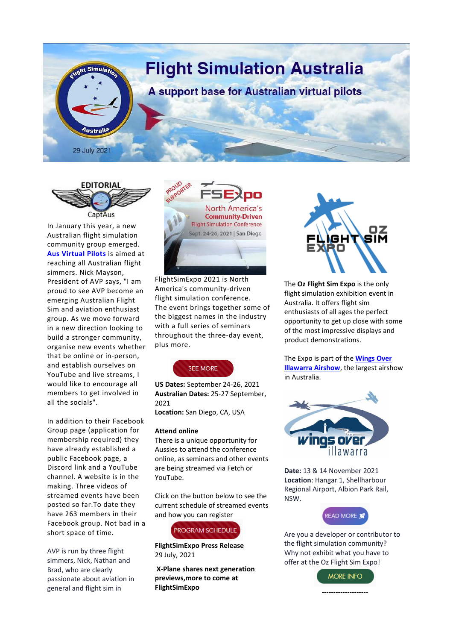



In January this year, a new Australian flight simulation community group emerged. **Aus [Virtual](https://www.youtube.com/watch?v=THQnMzpay0U) Pilots** is aimed at reaching all Australian flight simmers. Nick Mayson, President of AVP says, "I am proud to see AVP become an emerging Australian Flight Sim and aviation enthusiast group. As we move forward in a new direction looking to build a stronger community, organise new events whether that be online or in-person, and establish ourselves on YouTube and live streams, I would like to encourage all members to get involved in all the socials".

In addition to their Facebook Group page (application for membership required) they have already established a public Facebook page, a Discord link and a YouTube channel. A website is in the making. Three videos of streamed events have been posted so far.To date they have 263 members in their Facebook group. Not bad in a short space of time.

AVP is run by three flight simmers, Nick, Nathan and Brad, who are clearly passionate about aviation in general and flight sim in



FlightSimExpo 2021 is North America's community-driven flight simulation conference. The event brings together some of the biggest names in the industry with a full series of seminars throughout the three-day event, plus more.



**US Dates:** September 24-26, 2021 **Australian Dates:** 25-27 September, 2021 **Location:** San Diego, CA, USA

## **Attend online**

There is a unique opportunity for Aussies to attend the conference online, as seminars and other events are being streamed via Fetch or YouTube.

Click on the button below to see the current schedule of streamed events and how you can register



**FlightSimExpo Press Release** 29 July, 2021

**X-Plane shares next generation previews,more to come at FlightSimExpo**



The **Oz Flight Sim Expo** is the only flight simulation exhibition event in Australia. It offers flight sim enthusiasts of all ages the perfect opportunity to get up close with some of the most impressive displays and product demonstrations.

The Expo is part of the **[Wings](https://wingsoverillawarra.com.au/) Over [Illawarra](https://wingsoverillawarra.com.au/) Airshow**, the largest airshow in Australia.



**Date:** 13 & 14 November 2021 **Location**: Hangar 1, Shellharbour Regional Airport, Albion Park Rail, NSW.



Are you a developer or contributor to the flight simulation community? Why not exhibit what you have to offer at t[he Oz Flight Sim Expo](https://3824fed8-18d8-4769-be3b-46b72a5b8caf.filesusr.com/ugd/8e6da7_a00d84715e444a92bdd5bf2607680f95.pdf)!

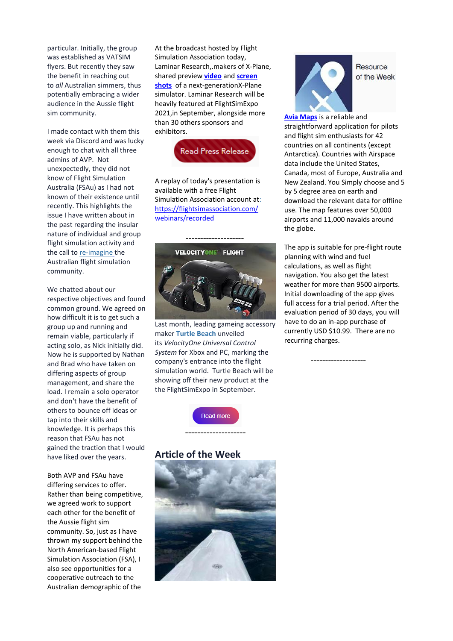particular. Initially, the group was established as VATSIM flyers. But recently they saw the benefit in reaching out to *all* Australian simmers, thus potentially embracing a wider audience in the Aussie flight sim community.

I made contact with them this week via Discord and was lucky enough to chat with all three admins of AVP. Not unexpectedly, they did not know of Flight Simulation Australia (FSAu) as I had not known of their existence until recently. This highlights the issue I have written about in the past regarding the insular nature of individual and group flight simulation activity and the call to [re-imagine](https://3824fed8-18d8-4769-be3b-46b72a5b8caf.filesusr.com/ugd/8e6da7_4da16cb8d2b84fa8bf693966154d7d10.pdf) the Australian flight simulation community.

We chatted about our respective objectives and found common ground. We agreed on how difficult it is to get such a group up and running and remain viable, particularly if acting solo, as Nick initially did. Now he is supported by Nathan and Brad who have taken on differing aspects of group management, and share the load. I remain a solo operator and don't have the benefit of others to bounce off ideas or tap into their skills and knowledge. It is perhaps this reason that FSAu has not gained the traction that I would have liked over the years.

Both AVP and FSAu have differing services to offer. Rather than being competitive, we agreed work to support each other for the benefit of the Aussie flight sim community. So, just as I have thrown my support behind the North American-based Flight Simulation Association (FSA), I also see opportunities for a cooperative outreach to the Australian demographic of the

At the broadcast hosted by Flight Simulation Association today, Laminar Research,.makers of X-Plane, shared preview **[video](https://www.youtube.com/watch?v=54soFUswd3k)** and **[screen](https://www.youtube.com/watch?v=fxFz4T6PXY4) [shots](https://www.youtube.com/watch?v=fxFz4T6PXY4)** of a next-generationX-Plane simulator. Laminar Research will be heavily featured at FlightSimExpo 2021,in September, alongside more than 30 others sponsors and exhibitors.



A replay of today's presentation is available with a free Flight Simulation Association account at: [https://flightsimassociation.com/](https://flightsimassociation.com/%0bwebinars/recorded) [webinars/recorded](https://flightsimassociation.com/%0bwebinars/recorded)



Last month, leading gameing accessory maker **[Turtle](https://au.turtlebeach.com/pages/velocity-one-flight) [Beach](https://au.turtlebeach.com/pages/velocity-one-flight)** unveiled its *VelocityOne Universal Control System* for Xbox and PC, marking the company's entrance into the flight simulation world. Turtle Beach will be showing off their new product at the the FlightSimExpo in September.



--------------------

# **Article of the Week**





Resource of the Week

**Avia [Maps](https://play.google.com/store/apps/details?id=com.mytowntonight.aviamap&hl=en_AU&gl=US)** is a reliable and straightforward application for pilots and flight sim enthusiasts for 42 countries on all continents (except Antarctica). Countries with Airspace data include the United States, Canada, most of Europe, Australia and New Zealand. You Simply choose and 5 by 5 degree area on earth and download the relevant data for offline use. The map features over 50,000 airports and 11,000 navaids around the globe.

The app is suitable for pre-flight route planning with wind and fuel calculations, as well as flight navigation. You also get the latest weather for more than 9500 airports. Initial downloading of the app gives full access for a trial period. After the evaluation period of 30 days, you will have to do an in-app purchase of currently USD \$10.99. There are no recurring charges.

-------------------